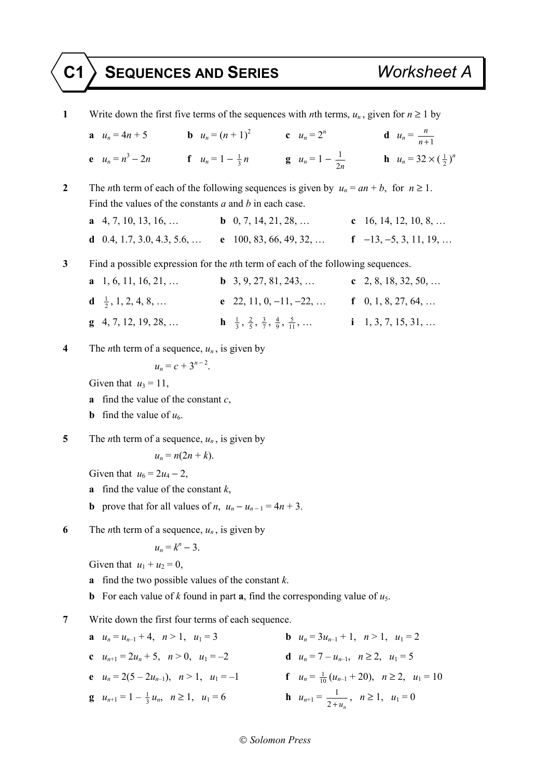## **C1 SEQUENCES AND SERIES** *Worksheet A*

| 1                | Write down the first five terms of the sequences with <i>n</i> th terms, $u_n$ , given for $n \ge 1$ by                                                                                                                                                                        |                                                      |                      |
|------------------|--------------------------------------------------------------------------------------------------------------------------------------------------------------------------------------------------------------------------------------------------------------------------------|------------------------------------------------------|----------------------|
|                  | <b>a</b> $u_n = 4n + 5$ <b>b</b> $u_n = (n+1)^2$ <b>c</b> $u_n = 2^n$ <b>d</b> $u_n = \frac{n}{n+1}$                                                                                                                                                                           |                                                      |                      |
|                  | <b>f</b> $u_n = 1 - \frac{1}{3}n$ <b>g</b> $u_n = 1 - \frac{1}{2n}$ <b>h</b> $u_n = 32 \times (\frac{1}{2})^n$<br>e $u_n = n^3 - 2n$                                                                                                                                           |                                                      |                      |
| $\boldsymbol{2}$ | The <i>n</i> th term of each of the following sequences is given by $u_n = an + b$ , for $n \ge 1$ .                                                                                                                                                                           |                                                      |                      |
|                  | Find the values of the constants $a$ and $b$ in each case.                                                                                                                                                                                                                     |                                                      |                      |
|                  | <b>a</b> 4, 7, 10, 13, 16, <b>b</b> 0, 7, 14, 21, 28, <b>c</b> 16, 14, 12, 10, 8,                                                                                                                                                                                              |                                                      |                      |
|                  | <b>d</b> 0.4, 1.7, 3.0, 4.3, 5.6, <b>e</b> 100, 83, 66, 49, 32, <b>f</b> $-13, -5, 3, 11, 19, $                                                                                                                                                                                |                                                      |                      |
| 3                | Find a possible expression for the <i>n</i> th term of each of the following sequences.                                                                                                                                                                                        |                                                      |                      |
|                  | $a$ 1, 6, 11, 16, 21,<br><b>b</b> 3, 9, 27, 81, 243,                                                                                                                                                                                                                           |                                                      | c 2, 8, 18, 32, 50,  |
|                  | $\mathbf{d} \quad \frac{1}{2}, 1, 2, 4, 8, \ldots$                                                                                                                                                                                                                             | e 22, 11, 0, -11, -22,  f 0, 1, 8, 27, 64,           |                      |
|                  | <b>h</b> $\frac{1}{3}, \frac{2}{5}, \frac{3}{7}, \frac{4}{9}, \frac{5}{11}, \dots$<br>$\mathbf{g}$ 4, 7, 12, 19, 28,                                                                                                                                                           |                                                      | $i$ 1, 3, 7, 15, 31, |
| 4                | The <i>n</i> th term of a sequence, $u_n$ , is given by<br>$u_n = c + 3^{n-2}$ .<br>Given that $u_3 = 11$ ,<br>find the value of the constant $c$ ,<br>a                                                                                                                       |                                                      |                      |
|                  |                                                                                                                                                                                                                                                                                |                                                      |                      |
|                  |                                                                                                                                                                                                                                                                                |                                                      |                      |
|                  |                                                                                                                                                                                                                                                                                |                                                      |                      |
|                  | <b>b</b> find the value of $u_6$ .                                                                                                                                                                                                                                             |                                                      |                      |
| 5                | The <i>n</i> th term of a sequence, $u_n$ , is given by<br>$u_n = n(2n + k)$ .<br>Given that $u_6 = 2u_4 - 2$ ,<br>find the value of the constant $k$ ,<br>a                                                                                                                   |                                                      |                      |
|                  |                                                                                                                                                                                                                                                                                |                                                      |                      |
|                  |                                                                                                                                                                                                                                                                                |                                                      |                      |
|                  |                                                                                                                                                                                                                                                                                |                                                      |                      |
|                  | <b>b</b> prove that for all values of <i>n</i> , $u_n - u_{n-1} = 4n + 3$ .                                                                                                                                                                                                    |                                                      |                      |
| 6                | The <i>n</i> th term of a sequence, $u_n$ , is given by<br>$u_n = k^n - 3$ .<br>Given that $u_1 + u_2 = 0$ ,<br>find the two possible values of the constant $k$ .<br>a<br>For each value of k found in part <b>a</b> , find the corresponding value of $u_5$ .<br>$\mathbf b$ |                                                      |                      |
|                  |                                                                                                                                                                                                                                                                                |                                                      |                      |
|                  |                                                                                                                                                                                                                                                                                |                                                      |                      |
|                  |                                                                                                                                                                                                                                                                                |                                                      |                      |
|                  |                                                                                                                                                                                                                                                                                |                                                      |                      |
| 7                | Write down the first four terms of each sequence.                                                                                                                                                                                                                              |                                                      |                      |
|                  | <b>a</b> $u_n = u_{n-1} + 4$ , $n > 1$ , $u_1 = 3$                                                                                                                                                                                                                             | <b>b</b> $u_n = 3u_{n-1} + 1$ , $n > 1$ , $u_1 = 2$  |                      |
|                  | c $u_{n+1} = 2u_n + 5$ , $n > 0$ , $u_1 = -2$                                                                                                                                                                                                                                  | <b>d</b> $u_n = 7 - u_{n-1}$ , $n \ge 2$ , $u_1 = 5$ |                      |
|                  |                                                                                                                                                                                                                                                                                |                                                      |                      |

**e**  $u_n = 2(5 - 2u_{n-1}), \quad n > 1, \quad u_1 = -1$  **f**  $u_n = \frac{1}{10}(u_{n-1} + 20), \quad n \ge 2, \quad u_1 = 10$ **g**  $u_{n+1} = 1 - \frac{1}{3} u_n$ ,  $n \ge 1$ ,  $u_1 = 6$  **h**  $u_{n+1} =$  $\frac{1}{2+u_n}$ ,  $n \ge 1$ ,  $u_1 = 0$ 

## *Solomon Press*